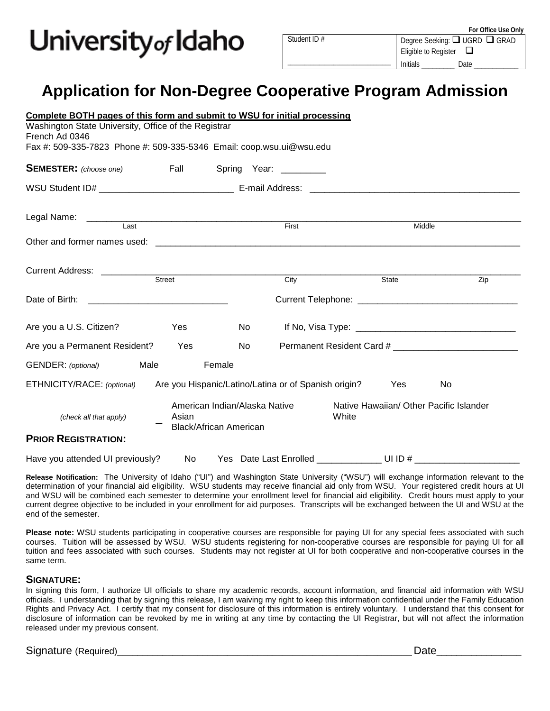## University<sub>of</sub> Idaho

\_\_\_\_\_\_\_\_\_\_\_\_\_\_\_\_\_\_\_\_\_\_\_\_\_\_\_\_\_\_\_\_\_\_\_\_

Degree Seeking: □ UGRD □ GRAD Eligible to Register  $\Box$ Initials **Date** 

### **Application for Non-Degree Cooperative Program Admission**

| <u>Complete BOTH pages of this form and submit to WSU for initial processing</u><br>Washington State University, Office of the Registrar<br>French Ad 0346 |                                                                         |      |                        |                                                  |           |     |
|------------------------------------------------------------------------------------------------------------------------------------------------------------|-------------------------------------------------------------------------|------|------------------------|--------------------------------------------------|-----------|-----|
| Fax #: 509-335-7823 Phone #: 509-335-5346 Email: coop.wsu.ui@wsu.edu                                                                                       |                                                                         |      |                        |                                                  |           |     |
| <b>SEMESTER:</b> (choose one) Fall Spring Year: ________                                                                                                   |                                                                         |      |                        |                                                  |           |     |
|                                                                                                                                                            |                                                                         |      |                        |                                                  |           |     |
| Last                                                                                                                                                       |                                                                         |      | First                  |                                                  | Middle    |     |
|                                                                                                                                                            |                                                                         |      |                        |                                                  |           |     |
|                                                                                                                                                            |                                                                         |      |                        |                                                  |           |     |
|                                                                                                                                                            |                                                                         |      | City                   |                                                  | State     | Zip |
|                                                                                                                                                            |                                                                         |      |                        |                                                  |           |     |
| Are you a U.S. Citizen?                                                                                                                                    | Yes                                                                     | No l |                        |                                                  |           |     |
| Are you a Permanent Resident?                                                                                                                              | Yes                                                                     | No   |                        |                                                  |           |     |
| GENDER: (optional)                                                                                                                                         | Female<br>Male                                                          |      |                        |                                                  |           |     |
| ETHNICITY/RACE: (optional)                                                                                                                                 | Are you Hispanic/Latino/Latina or of Spanish origin?                    |      |                        |                                                  | Yes       | No. |
| (check all that apply)                                                                                                                                     | American Indian/Alaska Native<br>Asian<br><b>Black/African American</b> |      |                        | Native Hawaiian/ Other Pacific Islander<br>White |           |     |
| <b>PRIOR REGISTRATION:</b>                                                                                                                                 |                                                                         |      |                        |                                                  |           |     |
| Have you attended UI previously?                                                                                                                           | No.                                                                     |      | Yes Date Last Enrolled |                                                  | UI ID $#$ |     |

**Release Notification:** The University of Idaho ("UI") and Washington State University ("WSU") will exchange information relevant to the determination of your financial aid eligibility. WSU students may receive financial aid only from WSU. Your registered credit hours at UI and WSU will be combined each semester to determine your enrollment level for financial aid eligibility. Credit hours must apply to your current degree objective to be included in your enrollment for aid purposes. Transcripts will be exchanged between the UI and WSU at the end of the semester.

**Please note:** WSU students participating in cooperative courses are responsible for paying UI for any special fees associated with such courses. Tuition will be assessed by WSU. WSU students registering for non-cooperative courses are responsible for paying UI for all tuition and fees associated with such courses. Students may not register at UI for both cooperative and non-cooperative courses in the same term.

#### **SIGNATURE:**

In signing this form, I authorize UI officials to share my academic records, account information, and financial aid information with WSU officials. I understanding that by signing this release, I am waiving my right to keep this information confidential under the Family Education Rights and Privacy Act. I certify that my consent for disclosure of this information is entirely voluntary. I understand that this consent for disclosure of information can be revoked by me in writing at any time by contacting the UI Registrar, but will not affect the information released under my previous consent.

#### Signature (Required) and the set of the set of the set of the set of the set of the set of the set of the set o